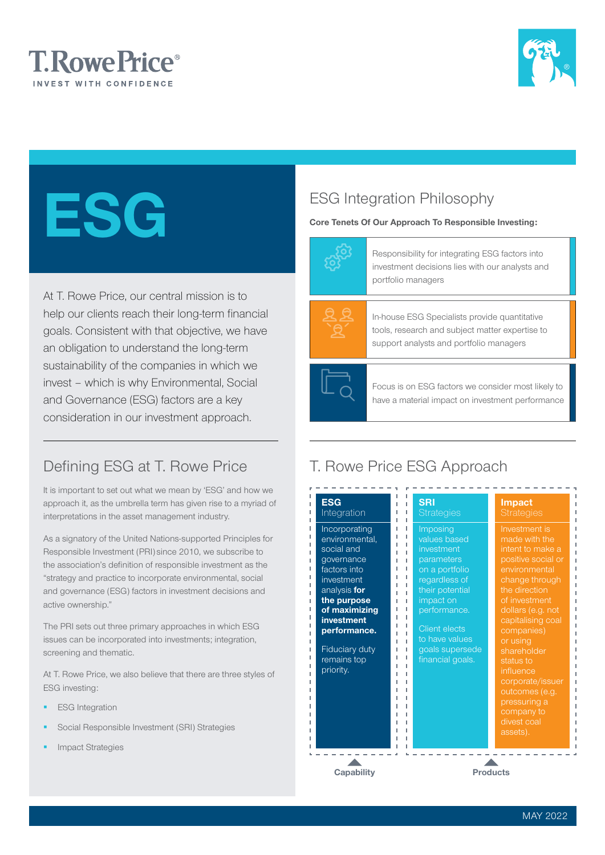



# ESG

At T. Rowe Price, our central mission is to help our clients reach their long-term financial goals. Consistent with that objective, we have an obligation to understand the long-term sustainability of the companies in which we invest – which is why Environmental, Social and Governance (ESG) factors are a key consideration in our investment approach.

# Defining ESG at T. Rowe Price

It is important to set out what we mean by 'ESG' and how we approach it, as the umbrella term has given rise to a myriad of interpretations in the asset management industry.

As a signatory of the United Nations-supported Principles for Responsible Investment (PRI) since 2010, we subscribe to the association's definition of responsible investment as the "strategy and practice to incorporate environmental, social and governance (ESG) factors in investment decisions and active ownership."

The PRI sets out three primary approaches in which ESG issues can be incorporated into investments; integration, screening and thematic.

At T. Rowe Price, we also believe that there are three styles of ESG investing:

- ESG Integration
- Social Responsible Investment (SRI) Strategies
- Impact Strategies

# ESG Integration Philosophy

## Core Tenets Of Our Approach To Responsible Investing:



Responsibility for integrating ESG factors into investment decisions lies with our analysts and portfolio managers



In-house ESG Specialists provide quantitative tools, research and subject matter expertise to support analysts and portfolio managers



Focus is on ESG factors we consider most likely to have a material impact on investment performance

# T. Rowe Price ESG Approach

| Investment is<br>Incorporating<br>Imposing<br>values based<br>environmental,<br>made with the<br>social and<br>investment<br>intent to make a<br>positive social or<br>governance<br>parameters<br>factors into<br>environmental<br>on a portfolio<br>investment<br>regardless of<br>change through<br>the direction<br>analysis for<br>their potential<br>of investment<br>the purpose<br>impact on<br>of maximizing<br>performance.<br>dollars (e.g. not<br><b>investment</b><br>capitalising coal<br><b>Client elects</b><br>performance.<br>companies)<br>to have values<br>or using<br><b>Fiduciary duty</b><br>goals supersede<br>shareholder<br>remains top<br>financial goals.<br>status to<br>priority.<br>influence<br>corporate/issuer<br>outcomes (e.g.<br>pressuring a<br>company to<br>divest coal<br>assets). | <b>ESG</b><br>Integration | <b>SRI</b><br><b>Strategies</b> | <b>Impact</b><br><b>Strategies</b> |
|------------------------------------------------------------------------------------------------------------------------------------------------------------------------------------------------------------------------------------------------------------------------------------------------------------------------------------------------------------------------------------------------------------------------------------------------------------------------------------------------------------------------------------------------------------------------------------------------------------------------------------------------------------------------------------------------------------------------------------------------------------------------------------------------------------------------------|---------------------------|---------------------------------|------------------------------------|
|                                                                                                                                                                                                                                                                                                                                                                                                                                                                                                                                                                                                                                                                                                                                                                                                                              |                           |                                 |                                    |
|                                                                                                                                                                                                                                                                                                                                                                                                                                                                                                                                                                                                                                                                                                                                                                                                                              |                           |                                 |                                    |
|                                                                                                                                                                                                                                                                                                                                                                                                                                                                                                                                                                                                                                                                                                                                                                                                                              |                           |                                 |                                    |
|                                                                                                                                                                                                                                                                                                                                                                                                                                                                                                                                                                                                                                                                                                                                                                                                                              |                           |                                 |                                    |
|                                                                                                                                                                                                                                                                                                                                                                                                                                                                                                                                                                                                                                                                                                                                                                                                                              |                           |                                 |                                    |
|                                                                                                                                                                                                                                                                                                                                                                                                                                                                                                                                                                                                                                                                                                                                                                                                                              |                           |                                 |                                    |
|                                                                                                                                                                                                                                                                                                                                                                                                                                                                                                                                                                                                                                                                                                                                                                                                                              |                           |                                 |                                    |
|                                                                                                                                                                                                                                                                                                                                                                                                                                                                                                                                                                                                                                                                                                                                                                                                                              |                           |                                 |                                    |
|                                                                                                                                                                                                                                                                                                                                                                                                                                                                                                                                                                                                                                                                                                                                                                                                                              |                           |                                 |                                    |
|                                                                                                                                                                                                                                                                                                                                                                                                                                                                                                                                                                                                                                                                                                                                                                                                                              |                           |                                 |                                    |
|                                                                                                                                                                                                                                                                                                                                                                                                                                                                                                                                                                                                                                                                                                                                                                                                                              |                           |                                 |                                    |
|                                                                                                                                                                                                                                                                                                                                                                                                                                                                                                                                                                                                                                                                                                                                                                                                                              |                           |                                 |                                    |
|                                                                                                                                                                                                                                                                                                                                                                                                                                                                                                                                                                                                                                                                                                                                                                                                                              |                           |                                 |                                    |
|                                                                                                                                                                                                                                                                                                                                                                                                                                                                                                                                                                                                                                                                                                                                                                                                                              |                           |                                 |                                    |
|                                                                                                                                                                                                                                                                                                                                                                                                                                                                                                                                                                                                                                                                                                                                                                                                                              |                           |                                 |                                    |
|                                                                                                                                                                                                                                                                                                                                                                                                                                                                                                                                                                                                                                                                                                                                                                                                                              |                           |                                 |                                    |
|                                                                                                                                                                                                                                                                                                                                                                                                                                                                                                                                                                                                                                                                                                                                                                                                                              |                           |                                 |                                    |
|                                                                                                                                                                                                                                                                                                                                                                                                                                                                                                                                                                                                                                                                                                                                                                                                                              |                           |                                 |                                    |
|                                                                                                                                                                                                                                                                                                                                                                                                                                                                                                                                                                                                                                                                                                                                                                                                                              |                           |                                 |                                    |
|                                                                                                                                                                                                                                                                                                                                                                                                                                                                                                                                                                                                                                                                                                                                                                                                                              |                           |                                 |                                    |
|                                                                                                                                                                                                                                                                                                                                                                                                                                                                                                                                                                                                                                                                                                                                                                                                                              |                           |                                 |                                    |
|                                                                                                                                                                                                                                                                                                                                                                                                                                                                                                                                                                                                                                                                                                                                                                                                                              |                           |                                 |                                    |

Capability **Products**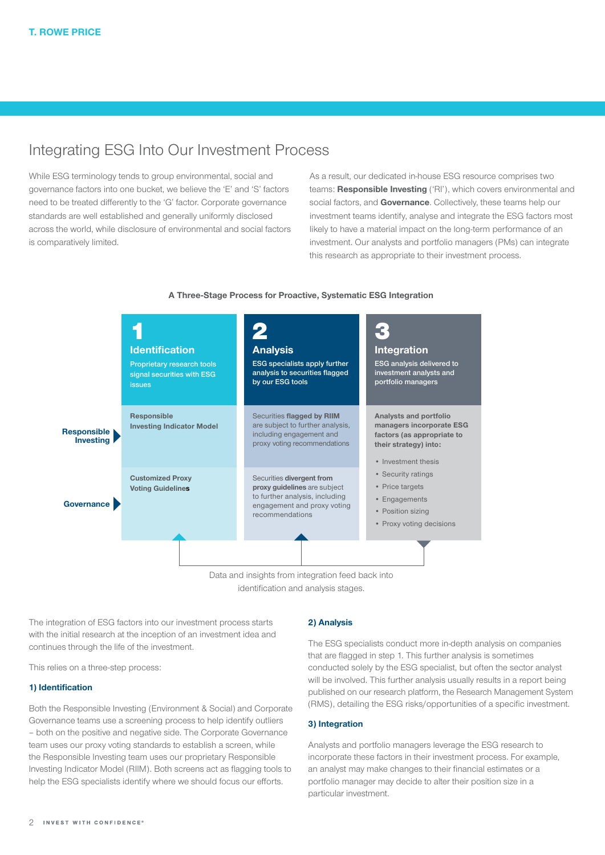## Integrating ESG Into Our Investment Process

While ESG terminology tends to group environmental, social and governance factors into one bucket, we believe the 'E' and 'S' factors need to be treated differently to the 'G' factor. Corporate governance standards are well established and generally uniformly disclosed across the world, while disclosure of environmental and social factors is comparatively limited.

As a result, our dedicated in-house ESG resource comprises two teams: Responsible Investing ('RI'), which covers environmental and social factors, and **Governance**. Collectively, these teams help our investment teams identify, analyse and integrate the ESG factors most likely to have a material impact on the long-term performance of an investment. Our analysts and portfolio managers (PMs) can integrate this research as appropriate to their investment process.

#### Data and insights from integration feed back into Responsible Investing Governance 3 Integration ESG analysis delivered to investment analysts and portfolio managers 2 Analysis ESG specialists apply further analysis to securities flagged by our ESG tools 1 **Identification** Proprietary research tools signal securities with ESG issues Responsible Investing Indicator Model Customized Proxy Voting Guidelines Securities flagged by RIIM are subject to further analysis, including engagement and proxy voting recommendations Securities divergent from proxy guidelines are subject to further analysis, including engagement and proxy voting recommendations Analysts and portfolio managers incorporate ESG factors (as appropriate to their strategy) into: • Investment thesis • Security ratings • Price targets • Engagements • Position sizing • Proxy voting decisions

#### A Three-Stage Process for Proactive, Systematic ESG Integration

identification and analysis stages.

The integration of ESG factors into our investment process starts with the initial research at the inception of an investment idea and continues through the life of the investment.

This relies on a three-step process:

### 1) Identification

Both the Responsible Investing (Environment & Social) and Corporate Governance teams use a screening process to help identify outliers – both on the positive and negative side. The Corporate Governance team uses our proxy voting standards to establish a screen, while the Responsible Investing team uses our proprietary Responsible Investing Indicator Model (RIIM). Both screens act as flagging tools to help the ESG specialists identify where we should focus our efforts.

#### 2) Analysis

The ESG specialists conduct more in-depth analysis on companies that are flagged in step 1. This further analysis is sometimes conducted solely by the ESG specialist, but often the sector analyst will be involved. This further analysis usually results in a report being published on our research platform, the Research Management System (RMS), detailing the ESG risks/opportunities of a specific investment.

#### 3) Integration

Analysts and portfolio managers leverage the ESG research to incorporate these factors in their investment process. For example, an analyst may make changes to their financial estimates or a portfolio manager may decide to alter their position size in a particular investment.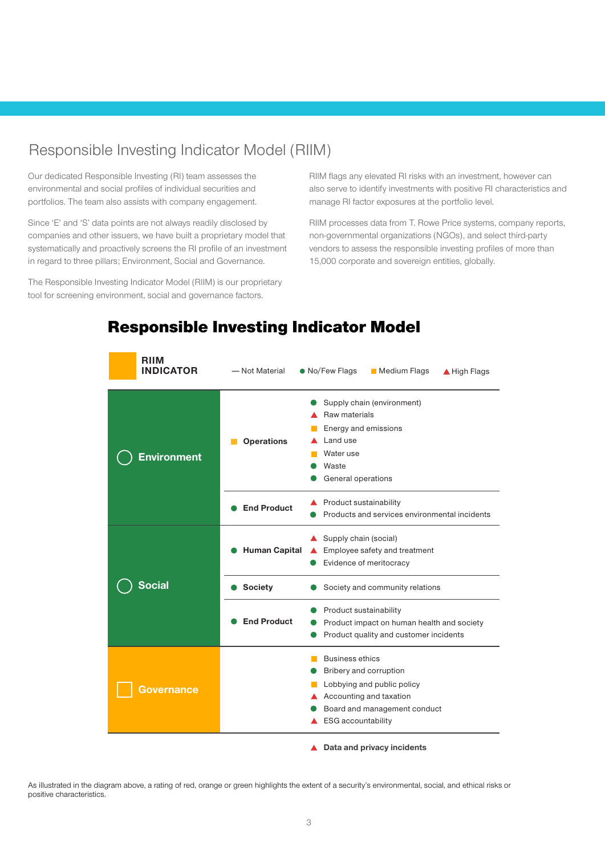## Responsible Investing Indicator Model (RIIM)

Our dedicated Responsible Investing (RI) team assesses the environmental and social profiles of individual securities and portfolios. The team also assists with company engagement.

Since 'E' and 'S' data points are not always readily disclosed by companies and other issuers, we have built a proprietary model that systematically and proactively screens the RI profile of an investment in regard to three pillars; Environment, Social and Governance.

The Responsible Investing Indicator Model (RIIM) is our proprietary tool for screening environment, social and governance factors.

RIIM flags any elevated RI risks with an investment, however can also serve to identify investments with positive RI characteristics and manage RI factor exposures at the portfolio level.

RIIM processes data from T. Rowe Price systems, company reports, non-governmental organizations (NGOs), and select third-party vendors to assess the responsible investing profiles of more than 15,000 corporate and sovereign entities, globally.

| <b>RIIM</b><br><b>INDICATOR</b> | - Not Material                                                                                            | • No/Few Flags<br>Medium Flags<br>▲ High Flags                                                                                                                         |
|---------------------------------|-----------------------------------------------------------------------------------------------------------|------------------------------------------------------------------------------------------------------------------------------------------------------------------------|
| <b>Environment</b>              | <b>Operations</b>                                                                                         | Supply chain (environment)<br>Raw materials<br>Energy and emissions<br>Land use<br>Water use<br>Waste<br>General operations                                            |
|                                 | <b>End Product</b>                                                                                        | Product sustainability<br>Products and services environmental incidents                                                                                                |
| Social<br>overnance             | Supply chain (social)<br><b>Human Capital</b><br>Employee safety and treatment<br>Evidence of meritocracy |                                                                                                                                                                        |
|                                 | <b>Society</b>                                                                                            | Society and community relations                                                                                                                                        |
|                                 | <b>End Product</b>                                                                                        | Product sustainability<br>Product impact on human health and society<br>Product quality and customer incidents                                                         |
|                                 |                                                                                                           | <b>Business ethics</b><br>Bribery and corruption<br>Lobbying and public policy<br>Accounting and taxation<br>Board and management conduct<br><b>ESG</b> accountability |
|                                 |                                                                                                           | Data and privacy incidents                                                                                                                                             |

## Responsible Investing Indicator Model

As illustrated in the diagram above, a rating of red, orange or green highlights the extent of a security's environmental, social, and ethical risks or positive characteristics.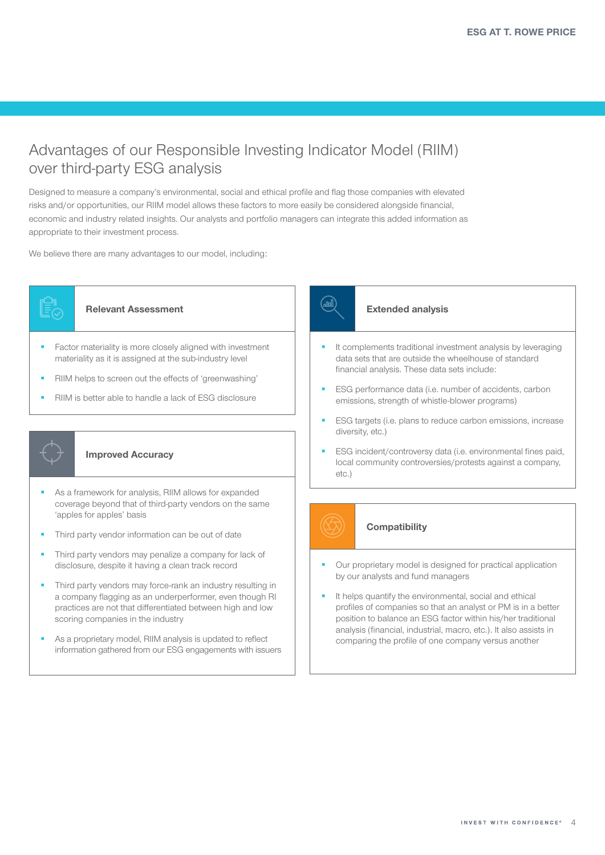## Advantages of our Responsible Investing Indicator Model (RIIM) over third-party ESG analysis

Designed to measure a company's environmental, social and ethical profile and flag those companies with elevated risks and/or opportunities, our RIIM model allows these factors to more easily be considered alongside financial, economic and industry related insights. Our analysts and portfolio managers can integrate this added information as appropriate to their investment process.

We believe there are many advantages to our model, including:



## Relevant Assessment

- Factor materiality is more closely aligned with investment materiality as it is assigned at the sub-industry level
- RIIM helps to screen out the effects of 'greenwashing'
- RIIM is better able to handle a lack of ESG disclosure



### Improved Accuracy

- As a framework for analysis, RIIM allows for expanded coverage beyond that of third-party vendors on the same 'apples for apples' basis
- Third party vendor information can be out of date
- Third party vendors may penalize a company for lack of disclosure, despite it having a clean track record
- Third party vendors may force-rank an industry resulting in a company flagging as an underperformer, even though RI practices are not that differentiated between high and low scoring companies in the industry
- As a proprietary model, RIIM analysis is updated to reflect information gathered from our ESG engagements with issuers



#### Extended analysis

- It complements traditional investment analysis by leveraging data sets that are outside the wheelhouse of standard financial analysis. These data sets include:
- ESG performance data (i.e. number of accidents, carbon emissions, strength of whistle-blower programs)
- ESG targets (i.e. plans to reduce carbon emissions, increase diversity, etc.)
- ESG incident/controversy data (i.e. environmental fines paid, local community controversies/protests against a company, etc.)



## **Compatibility**

- Our proprietary model is designed for practical application by our analysts and fund managers
- It helps quantify the environmental, social and ethical profiles of companies so that an analyst or PM is in a better position to balance an ESG factor within his/her traditional analysis (financial, industrial, macro, etc.). It also assists in comparing the profile of one company versus another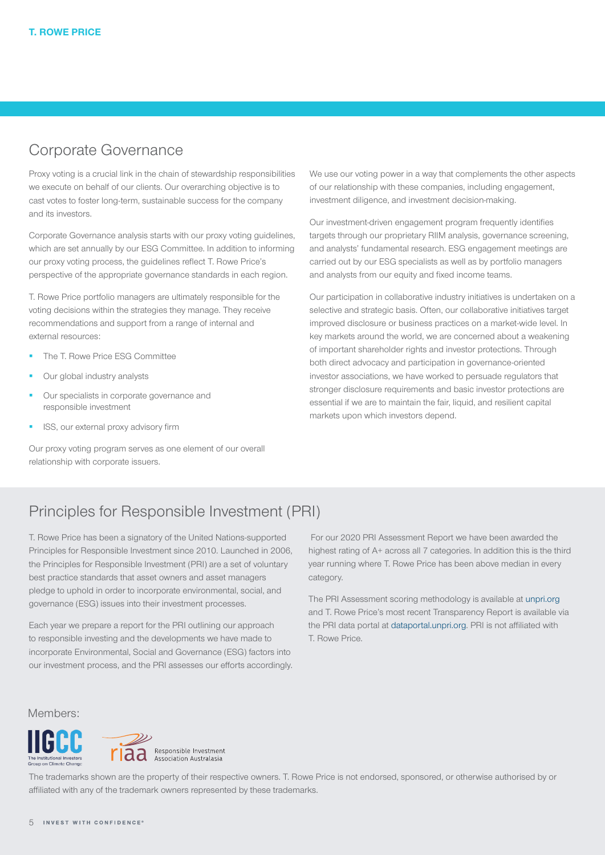## Corporate Governance

Proxy voting is a crucial link in the chain of stewardship responsibilities we execute on behalf of our clients. Our overarching objective is to cast votes to foster long-term, sustainable success for the company and its investors.

Corporate Governance analysis starts with our proxy voting guidelines, which are set annually by our ESG Committee. In addition to informing our proxy voting process, the guidelines reflect T. Rowe Price's perspective of the appropriate governance standards in each region.

T. Rowe Price portfolio managers are ultimately responsible for the voting decisions within the strategies they manage. They receive recommendations and support from a range of internal and external resources:

- The T. Rowe Price ESG Committee
- Our global industry analysts
- Our specialists in corporate governance and responsible investment
- ISS, our external proxy advisory firm

Our proxy voting program serves as one element of our overall relationship with corporate issuers.

We use our voting power in a way that complements the other aspects of our relationship with these companies, including engagement, investment diligence, and investment decision-making.

Our investment-driven engagement program frequently identifies targets through our proprietary RIIM analysis, governance screening, and analysts' fundamental research. ESG engagement meetings are carried out by our ESG specialists as well as by portfolio managers and analysts from our equity and fixed income teams.

Our participation in collaborative industry initiatives is undertaken on a selective and strategic basis. Often, our collaborative initiatives target improved disclosure or business practices on a market-wide level. In key markets around the world, we are concerned about a weakening of important shareholder rights and investor protections. Through both direct advocacy and participation in governance-oriented investor associations, we have worked to persuade regulators that stronger disclosure requirements and basic investor protections are essential if we are to maintain the fair, liquid, and resilient capital markets upon which investors depend.

## Principles for Responsible Investment (PRI)

T. Rowe Price has been a signatory of the United Nations-supported Principles for Responsible Investment since 2010. Launched in 2006, the Principles for Responsible Investment (PRI) are a set of voluntary best practice standards that asset owners and asset managers pledge to uphold in order to incorporate environmental, social, and governance (ESG) issues into their investment processes.

Each year we prepare a report for the PRI outlining our approach to responsible investing and the developments we have made to incorporate Environmental, Social and Governance (ESG) factors into our investment process, and the PRI assesses our efforts accordingly.

 For our 2020 PRI Assessment Report we have been awarded the highest rating of A+ across all 7 categories. In addition this is the third year running where T. Rowe Price has been above median in every category.

The PRI Assessment scoring methodology is available at [unpri.org](https://www.unpri.org/reporting-and-assessment-resources/reporting-for-signatories/3057.article) and T. Rowe Price's most recent Transparency Report is available via the PRI data portal at [dataportal.unpri.org.](https://www.unpri.org/signatory-directory/t-rowe-price/1892.article) PRI is not affiliated with T. Rowe Price.

Members:





The trademarks shown are the property of their respective owners. T. Rowe Price is not endorsed, sponsored, or otherwise authorised by or affiliated with any of the trademark owners represented by these trademarks.